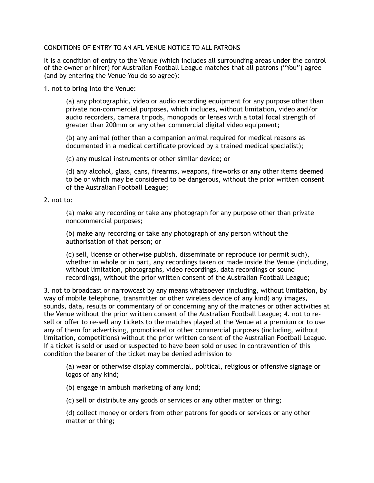## CONDITIONS OF ENTRY TO AN AFL VENUE NOTICE TO ALL PATRONS

It is a condition of entry to the Venue (which includes all surrounding areas under the control of the owner or hirer) for Australian Football League matches that all patrons ("You") agree (and by entering the Venue You do so agree):

1. not to bring into the Venue:

(a) any photographic, video or audio recording equipment for any purpose other than private non-commercial purposes, which includes, without limitation, video and/or audio recorders, camera tripods, monopods or lenses with a total focal strength of greater than 200mm or any other commercial digital video equipment;

(b) any animal (other than a companion animal required for medical reasons as documented in a medical certificate provided by a trained medical specialist);

(c) any musical instruments or other similar device; or

(d) any alcohol, glass, cans, firearms, weapons, fireworks or any other items deemed to be or which may be considered to be dangerous, without the prior written consent of the Australian Football League;

## 2. not to:

(a) make any recording or take any photograph for any purpose other than private noncommercial purposes;

(b) make any recording or take any photograph of any person without the authorisation of that person; or

(c) sell, license or otherwise publish, disseminate or reproduce (or permit such), whether in whole or in part, any recordings taken or made inside the Venue (including, without limitation, photographs, video recordings, data recordings or sound recordings), without the prior written consent of the Australian Football League;

3. not to broadcast or narrowcast by any means whatsoever (including, without limitation, by way of mobile telephone, transmitter or other wireless device of any kind) any images, sounds, data, results or commentary of or concerning any of the matches or other activities at the Venue without the prior written consent of the Australian Football League; 4. not to resell or offer to re-sell any tickets to the matches played at the Venue at a premium or to use any of them for advertising, promotional or other commercial purposes (including, without limitation, competitions) without the prior written consent of the Australian Football League. If a ticket is sold or used or suspected to have been sold or used in contravention of this condition the bearer of the ticket may be denied admission to

(a) wear or otherwise display commercial, political, religious or offensive signage or logos of any kind;

(b) engage in ambush marketing of any kind;

(c) sell or distribute any goods or services or any other matter or thing;

(d) collect money or orders from other patrons for goods or services or any other matter or thing;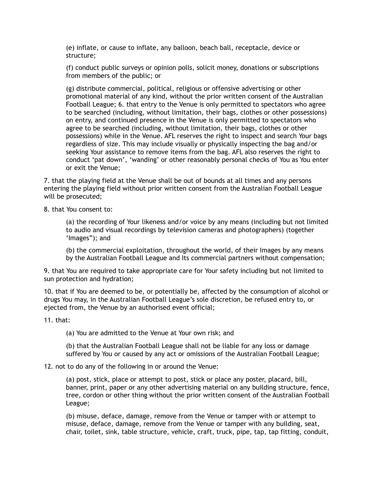(e) inflate, or cause to inflate, any balloon, beach ball, receptacle, device or structure;

(f) conduct public surveys or opinion polls, solicit money, donations or subscriptions from members of the public; or

(g) distribute commercial, political, religious or offensive advertising or other promotional material of any kind, without the prior written consent of the Australian Football League; 6. that entry to the Venue is only permitted to spectators who agree to be searched (including, without limitation, their bags, clothes or other possessions) on entry, and continued presence in the Venue is only permitted to spectators who agree to be searched (including, without limitation, their bags, clothes or other possessions) while in the Venue. AFL reserves the right to inspect and search Your bags regardless of size. This may include visually or physically inspecting the bag and/or seeking Your assistance to remove items from the bag. AFL also reserves the right to conduct 'pat down', 'wanding' or other reasonably personal checks of You as You enter or exit the Venue;

7. that the playing field at the Venue shall be out of bounds at all times and any persons entering the playing field without prior written consent from the Australian Football League will be prosecuted;

8. that You consent to:

(a) the recording of Your likeness and/or voice by any means (including but not limited to audio and visual recordings by television cameras and photographers) (together 'Images"); and

(b) the commercial exploitation, throughout the world, of their Images by any means by the Australian Football League and Its commercial partners without compensation;

9. that You are required to take appropriate care for Your safety including but not limited to sun protection and hydration;

10. that if You are deemed to be, or potentially be, affected by the consumption of alcohol or drugs You may, in the Australian Football League's sole discretion, be refused entry to, or ejected from, the Venue by an authorised event official;

11. that:

(a) You are admitted to the Venue at Your own risk; and

(b) that the Australian Football League shall not be liable for any loss or damage suffered by You or caused by any act or omissions of the Australian Football League;

12. not to do any of the following in or around the Venue:

(a) post, stick, place or attempt to post, stick or place any poster, placard, bill, banner, print, paper or any other advertising material on any building structure, fence, tree, cordon or other thing without the prior written consent of the Australian Football League;

(b) misuse, deface, damage, remove from the Venue or tamper with or attempt to misuse, deface, damage, remove from the Venue or tamper with any building, seat, chair, toilet, sink, table structure, vehicle, craft, truck, pipe, tap, tap fitting, conduit,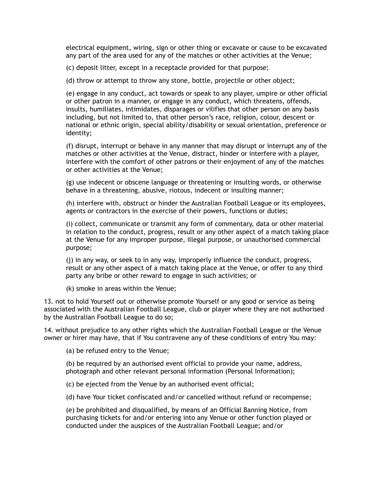electrical equipment, wiring, sign or other thing or excavate or cause to be excavated any part of the area used for any of the matches or other activities at the Venue;

(c) deposit litter, except in a receptacle provided for that purpose;

(d) throw or attempt to throw any stone, bottle, projectile or other object;

(e) engage in any conduct, act towards or speak to any player, umpire or other official or other patron in a manner, or engage in any conduct, which threatens, offends, insults, humiliates, intimidates, disparages or vilifies that other person on any basis including, but not limited to, that other person's race, religion, colour, descent or national or ethnic origin, special ability/disability or sexual orientation, preference or identity;

(f) disrupt, interrupt or behave in any manner that may disrupt or interrupt any of the matches or other activities at the Venue, distract, hinder or interfere with a player, interfere with the comfort of other patrons or their enjoyment of any of the matches or other activities at the Venue;

(g) use indecent or obscene language or threatening or insulting words, or otherwise behave in a threatening, abusive, riotous, indecent or insulting manner;

(h) interfere with, obstruct or hinder the Australian Football League or its employees, agents or contractors in the exercise of their powers, functions or duties;

(i) collect, communicate or transmit any form of commentary, data or other material in relation to the conduct, progress, result or any other aspect of a match taking place at the Venue for any improper purpose, illegal purpose, or unauthorised commercial purpose;

(j) in any way, or seek to in any way, improperly influence the conduct, progress, result or any other aspect of a match taking place at the Venue, or offer to any third party any bribe or other reward to engage in such activities; or

(k) smoke in areas within the Venue;

13. not to hold Yourself out or otherwise promote Yourself or any good or service as being associated with the Australian Football League, club or player where they are not authorised by the Australian Football League to do so;

14. without prejudice to any other rights which the Australian Football League or the Venue owner or hirer may have, that if You contravene any of these conditions of entry You may:

(a) be refused entry to the Venue;

(b) be required by an authorised event official to provide your name, address, photograph and other relevant personal information (Personal Information);

(c) be ejected from the Venue by an authorised event official;

(d) have Your ticket confiscated and/or cancelled without refund or recompense;

(e) be prohibited and disqualified, by means of an Official Banning Notice, from purchasing tickets for and/or entering into any Venue or other function played or conducted under the auspices of the Australian Football League; and/or